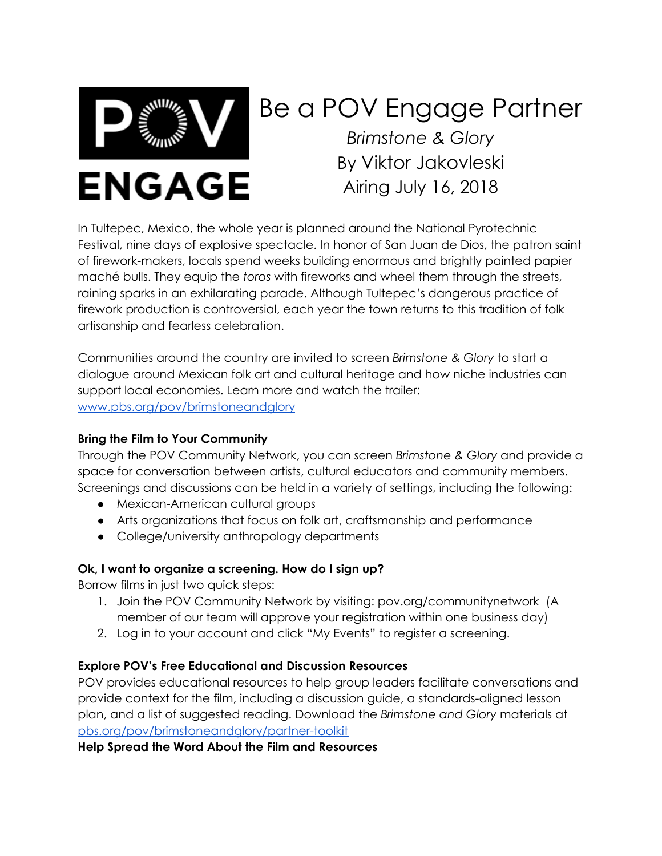

# Be a POV Engage Partner *Brimstone & Glory* By Viktor Jakovleski Airing July 16, 2018

In Tultepec, Mexico, the whole year is planned around the National Pyrotechnic Festival, nine days of explosive spectacle. In honor of San Juan de Dios, the patron saint of firework-makers, locals spend weeks building enormous and brightly painted papier maché bulls. They equip the *toros* with fireworks and wheel them through the streets, raining sparks in an exhilarating parade. Although Tultepec's dangerous practice of firework production is controversial, each year the town returns to this tradition of folk artisanship and fearless celebration.

Communities around the country are invited to screen *Brimstone & Glory* to start a dialogue around Mexican folk art and cultural heritage and how niche industries can support local economies. Learn more and watch the trailer: [www.pbs.org/pov/brimstoneandglory](http://www.pbs.org/pov/brimstoneandglory)

# **Bring the Film to Your Community**

Through the POV Community Network, you can screen *Brimstone & Glory* and provide a space for conversation between artists, cultural educators and community members. Screenings and discussions can be held in a variety of settings, including the following:

- Mexican-American cultural groups
- Arts organizations that focus on folk art, craftsmanship and performance
- College/university anthropology departments

# **Ok, I want to organize a screening. How do I sign up?**

Borrow films in just two quick steps:

- 1. Join the POV Community Network by visiting: [pov.org/communitynetwork](http://www.communitynetwork.amdoc.org/) (A member of our team will approve your registration within one business day)
- 2. Log in to your account and click "My Events" to register a screening.

#### **Explore POV's Free Educational and Discussion Resources**

POV provides educational resources to help group leaders facilitate conversations and provide context for the film, including a discussion guide, a standards-aligned lesson plan, and a list of suggested reading. Download the *Brimstone and Glory* materials at pbs.org/pov/brimstoneandglory/partner-toolkit

#### **Help Spread the Word About the Film and Resources**